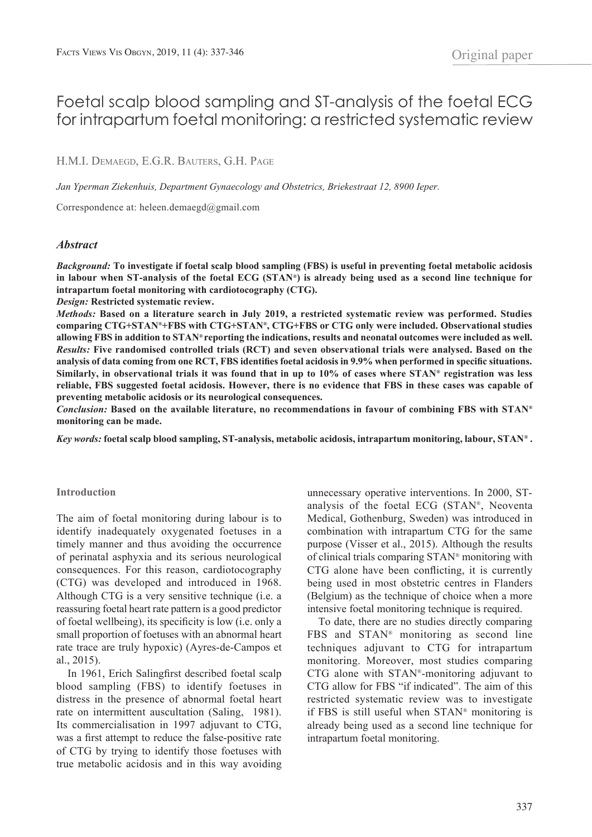# Foetal scalp blood sampling and ST-analysis of the foetal ECG for intrapartum foetal monitoring: a restricted systematic review

# H.M.I. DEMAEGD, E.G.R. BAUTERS, G.H. PAGE

*Jan Yperman Ziekenhuis, Department Gynaecology and Obstetrics, Briekestraat 12, 8900 Ieper.*

Correspondence at: heleen.demaegd@gmail.com

### *Abstract*

*Background:* **To investigate if foetal scalp blood sampling (FBS) is useful in preventing foetal metabolic acidosis in labour when ST-analysis of the foetal ECG (STAN®) is already being used as a second line technique for intrapartum foetal monitoring with cardiotocography (CTG).** 

*Design:* **Restricted systematic review.** 

*Methods:* **Based on a literature search in July 2019, a restricted systematic review was performed. Studies comparing CTG+STAN®+FBS with CTG+STAN®, CTG+FBS or CTG only were included. Observational studies allowing FBS in addition to STAN® reporting the indications, results and neonatal outcomes were included as well.** *Results:* **Five randomised controlled trials (RCT) and seven observational trials were analysed. Based on the analysis of data coming from one RCT, FBS identifies foetal acidosis in 9.9% when performed in specific situations. Similarly, in observational trials it was found that in up to 10% of cases where STAN® registration was less reliable, FBS suggested foetal acidosis. However, there is no evidence that FBS in these cases was capable of preventing metabolic acidosis or its neurological consequences.**

*Conclusion:* **Based on the available literature, no recommendations in favour of combining FBS with STAN® monitoring can be made.** 

*Key words:* **foetal scalp blood sampling, ST-analysis, metabolic acidosis, intrapartum monitoring, labour, STAN® .**

#### **Introduction**

The aim of foetal monitoring during labour is to identify inadequately oxygenated foetuses in a timely manner and thus avoiding the occurrence of perinatal asphyxia and its serious neurological consequences. For this reason, cardiotocography (CTG) was developed and introduced in 1968. Although CTG is a very sensitive technique (i.e. a reassuring foetal heart rate pattern is a good predictor of foetal wellbeing), its specificity is low (i.e. only a small proportion of foetuses with an abnormal heart rate trace are truly hypoxic) (Ayres-de-Campos et al., 2015).

In 1961, Erich Salingfirst described foetal scalp blood sampling (FBS) to identify foetuses in distress in the presence of abnormal foetal heart rate on intermittent auscultation (Saling, 1981). Its commercialisation in 1997 adjuvant to CTG, was a first attempt to reduce the false-positive rate of CTG by trying to identify those foetuses with true metabolic acidosis and in this way avoiding

unnecessary operative interventions. In 2000, STanalysis of the foetal ECG (STAN®, Neoventa Medical, Gothenburg, Sweden) was introduced in combination with intrapartum CTG for the same purpose (Visser et al., 2015). Although the results of clinical trials comparing STAN® monitoring with CTG alone have been conflicting, it is currently being used in most obstetric centres in Flanders (Belgium) as the technique of choice when a more intensive foetal monitoring technique is required.

To date, there are no studies directly comparing FBS and STAN® monitoring as second line techniques adjuvant to CTG for intrapartum monitoring. Moreover, most studies comparing CTG alone with STAN®-monitoring adjuvant to CTG allow for FBS "if indicated". The aim of this restricted systematic review was to investigate if FBS is still useful when STAN® monitoring is already being used as a second line technique for intrapartum foetal monitoring.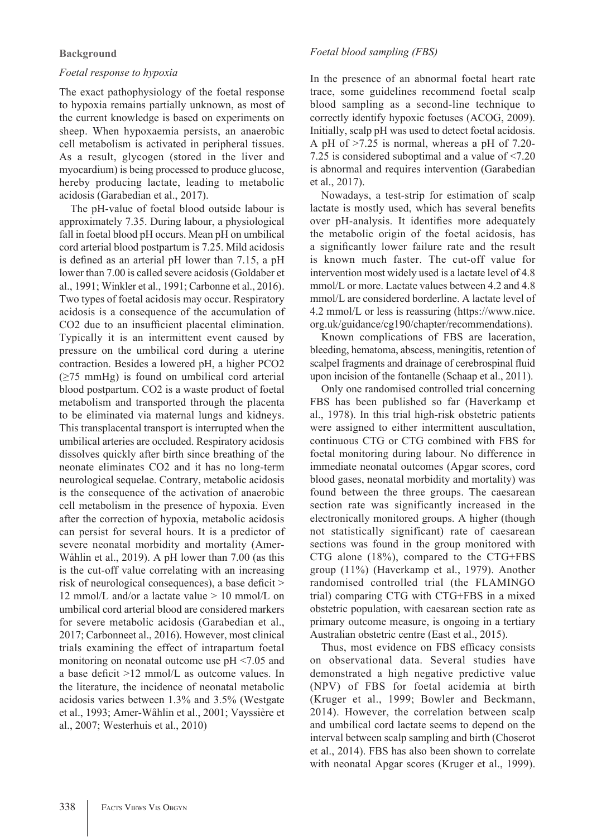# **Background**

# *Foetal response to hypoxia*

The exact pathophysiology of the foetal response to hypoxia remains partially unknown, as most of the current knowledge is based on experiments on sheep. When hypoxaemia persists, an anaerobic cell metabolism is activated in peripheral tissues. As a result, glycogen (stored in the liver and myocardium) is being processed to produce glucose, hereby producing lactate, leading to metabolic acidosis (Garabedian et al., 2017).

The pH-value of foetal blood outside labour is approximately 7.35. During labour, a physiological fall in foetal blood pH occurs. Mean pH on umbilical cord arterial blood postpartum is 7.25. Mild acidosis is defined as an arterial pH lower than 7.15, a pH lower than 7.00 is called severe acidosis (Goldaber et al., 1991; Winkler et al., 1991; Carbonne et al., 2016). Two types of foetal acidosis may occur. Respiratory acidosis is a consequence of the accumulation of CO2 due to an insufficient placental elimination. Typically it is an intermittent event caused by pressure on the umbilical cord during a uterine contraction. Besides a lowered pH, a higher PCO2  $(\geq 75 \text{ mmHg})$  is found on umbilical cord arterial blood postpartum. CO2 is a waste product of foetal metabolism and transported through the placenta to be eliminated via maternal lungs and kidneys. This transplacental transport is interrupted when the umbilical arteries are occluded. Respiratory acidosis dissolves quickly after birth since breathing of the neonate eliminates CO2 and it has no long-term neurological sequelae. Contrary, metabolic acidosis is the consequence of the activation of anaerobic cell metabolism in the presence of hypoxia. Even after the correction of hypoxia, metabolic acidosis can persist for several hours. It is a predictor of severe neonatal morbidity and mortality (Amer-Wåhlin et al., 2019). A pH lower than 7.00 (as this is the cut-off value correlating with an increasing risk of neurological consequences), a base deficit > 12 mmol/L and/or a lactate value  $> 10$  mmol/L on umbilical cord arterial blood are considered markers for severe metabolic acidosis (Garabedian et al., 2017; Carbonneet al., 2016). However, most clinical trials examining the effect of intrapartum foetal monitoring on neonatal outcome use pH <7.05 and a base deficit >12 mmol/L as outcome values. In the literature, the incidence of neonatal metabolic acidosis varies between 1.3% and 3.5% (Westgate et al., 1993; Amer-Wåhlin et al., 2001; Vayssière et al., 2007; Westerhuis et al., 2010)

# *Foetal blood sampling (FBS)*

In the presence of an abnormal foetal heart rate trace, some guidelines recommend foetal scalp blood sampling as a second-line technique to correctly identify hypoxic foetuses (ACOG, 2009). Initially, scalp pH was used to detect foetal acidosis. A pH of >7.25 is normal, whereas a pH of 7.20- 7.25 is considered suboptimal and a value of <7.20 is abnormal and requires intervention (Garabedian et al., 2017).

Nowadays, a test-strip for estimation of scalp lactate is mostly used, which has several benefits over pH-analysis. It identifies more adequately the metabolic origin of the foetal acidosis, has a significantly lower failure rate and the result is known much faster. The cut-off value for intervention most widely used is a lactate level of 4.8 mmol/L or more. Lactate values between 4.2 and 4.8 mmol/L are considered borderline. A lactate level of 4.2 mmol/L or less is reassuring (https://www.nice. org.uk/guidance/cg190/chapter/recommendations).

Known complications of FBS are laceration, bleeding, hematoma, abscess, meningitis, retention of scalpel fragments and drainage of cerebrospinal fluid upon incision of the fontanelle (Schaap et al., 2011).

Only one randomised controlled trial concerning FBS has been published so far (Haverkamp et al., 1978). In this trial high-risk obstetric patients were assigned to either intermittent auscultation, continuous CTG or CTG combined with FBS for foetal monitoring during labour. No difference in immediate neonatal outcomes (Apgar scores, cord blood gases, neonatal morbidity and mortality) was found between the three groups. The caesarean section rate was significantly increased in the electronically monitored groups. A higher (though not statistically significant) rate of caesarean sections was found in the group monitored with CTG alone (18%), compared to the CTG+FBS group (11%) (Haverkamp et al., 1979). Another randomised controlled trial (the FLAMINGO trial) comparing CTG with CTG+FBS in a mixed obstetric population, with caesarean section rate as primary outcome measure, is ongoing in a tertiary Australian obstetric centre (East et al., 2015).

Thus, most evidence on FBS efficacy consists on observational data. Several studies have demonstrated a high negative predictive value (NPV) of FBS for foetal acidemia at birth (Kruger et al., 1999; Bowler and Beckmann, 2014). However, the correlation between scalp and umbilical cord lactate seems to depend on the interval between scalp sampling and birth (Choserot et al., 2014). FBS has also been shown to correlate with neonatal Apgar scores (Kruger et al., 1999).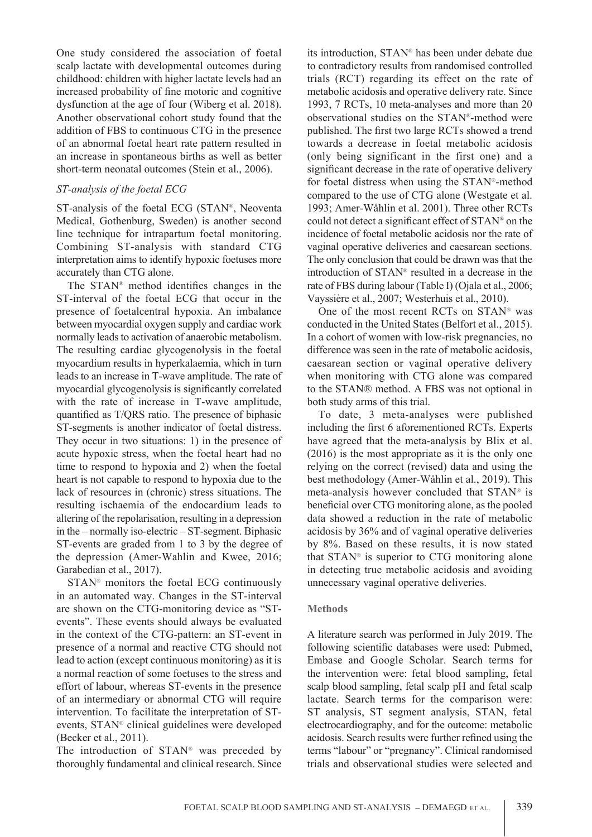One study considered the association of foetal scalp lactate with developmental outcomes during childhood: children with higher lactate levels had an increased probability of fine motoric and cognitive dysfunction at the age of four (Wiberg et al. 2018). Another observational cohort study found that the addition of FBS to continuous CTG in the presence of an abnormal foetal heart rate pattern resulted in an increase in spontaneous births as well as better short-term neonatal outcomes (Stein et al., 2006).

### *ST-analysis of the foetal ECG*

ST-analysis of the foetal ECG (STAN®, Neoventa Medical, Gothenburg, Sweden) is another second line technique for intrapartum foetal monitoring. Combining ST-analysis with standard CTG interpretation aims to identify hypoxic foetuses more accurately than CTG alone.

The STAN® method identifies changes in the ST-interval of the foetal ECG that occur in the presence of foetalcentral hypoxia. An imbalance between myocardial oxygen supply and cardiac work normally leads to activation of anaerobic metabolism. The resulting cardiac glycogenolysis in the foetal myocardium results in hyperkalaemia, which in turn leads to an increase in T-wave amplitude. The rate of myocardial glycogenolysis is significantly correlated with the rate of increase in T-wave amplitude, quantified as T/QRS ratio. The presence of biphasic ST-segments is another indicator of foetal distress. They occur in two situations: 1) in the presence of acute hypoxic stress, when the foetal heart had no time to respond to hypoxia and 2) when the foetal heart is not capable to respond to hypoxia due to the lack of resources in (chronic) stress situations. The resulting ischaemia of the endocardium leads to altering of the repolarisation, resulting in a depression in the – normally iso-electric – ST-segment. Biphasic ST-events are graded from 1 to 3 by the degree of the depression (Amer-Wahlin and Kwee, 2016; Garabedian et al., 2017).

STAN® monitors the foetal ECG continuously in an automated way. Changes in the ST-interval are shown on the CTG-monitoring device as "STevents". These events should always be evaluated in the context of the CTG-pattern: an ST-event in presence of a normal and reactive CTG should not lead to action (except continuous monitoring) as it is a normal reaction of some foetuses to the stress and effort of labour, whereas ST-events in the presence of an intermediary or abnormal CTG will require intervention. To facilitate the interpretation of STevents, STAN® clinical guidelines were developed (Becker et al., 2011).

The introduction of STAN® was preceded by thoroughly fundamental and clinical research. Since

its introduction, STAN® has been under debate due to contradictory results from randomised controlled trials (RCT) regarding its effect on the rate of metabolic acidosis and operative delivery rate. Since 1993, 7 RCTs, 10 meta-analyses and more than 20 observational studies on the STAN®-method were published. The first two large RCTs showed a trend towards a decrease in foetal metabolic acidosis (only being significant in the first one) and a significant decrease in the rate of operative delivery for foetal distress when using the STAN®-method compared to the use of CTG alone (Westgate et al. 1993; Amer-Wåhlin et al. 2001). Three other RCTs could not detect a significant effect of STAN® on the incidence of foetal metabolic acidosis nor the rate of vaginal operative deliveries and caesarean sections. The only conclusion that could be drawn was that the introduction of STAN® resulted in a decrease in the rate of FBS during labour (Table I) (Ojala et al., 2006; Vayssière et al., 2007; Westerhuis et al., 2010).

One of the most recent RCTs on STAN® was conducted in the United States (Belfort et al., 2015). In a cohort of women with low-risk pregnancies, no difference was seen in the rate of metabolic acidosis, caesarean section or vaginal operative delivery when monitoring with CTG alone was compared to the STAN® method. A FBS was not optional in both study arms of this trial.

To date, 3 meta-analyses were published including the first 6 aforementioned RCTs. Experts have agreed that the meta-analysis by Blix et al. (2016) is the most appropriate as it is the only one relying on the correct (revised) data and using the best methodology (Amer-Wåhlin et al., 2019). This meta-analysis however concluded that STAN® is beneficial over CTG monitoring alone, as the pooled data showed a reduction in the rate of metabolic acidosis by 36% and of vaginal operative deliveries by 8%. Based on these results, it is now stated that STAN® is superior to CTG monitoring alone in detecting true metabolic acidosis and avoiding unnecessary vaginal operative deliveries.

#### **Methods**

A literature search was performed in July 2019. The following scientific databases were used: Pubmed, Embase and Google Scholar. Search terms for the intervention were: fetal blood sampling, fetal scalp blood sampling, fetal scalp pH and fetal scalp lactate. Search terms for the comparison were: ST analysis, ST segment analysis, STAN, fetal electrocardiography, and for the outcome: metabolic acidosis. Search results were further refined using the terms "labour" or "pregnancy". Clinical randomised trials and observational studies were selected and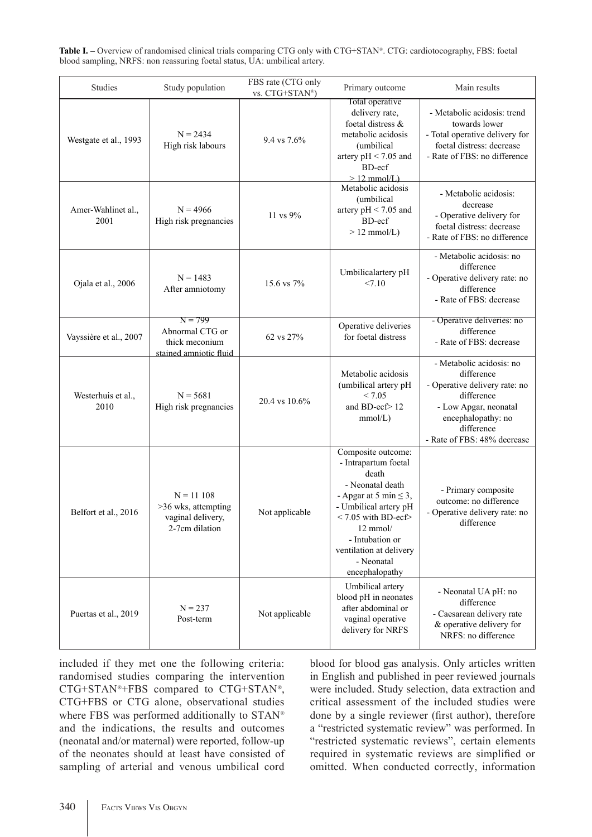**Table I. –** Overview of randomised clinical trials comparing CTG only with CTG+STAN®. CTG: cardiotocography, FBS: foetal blood sampling, NRFS: non reassuring foetal status, UA: umbilical artery.

| Studies                    | Study population                                                           | FBS rate (CTG only<br>vs. CTG+STAN®) | Primary outcome                                                                                                                                                                                                                                            | Main results                                                                                                                                                                      |
|----------------------------|----------------------------------------------------------------------------|--------------------------------------|------------------------------------------------------------------------------------------------------------------------------------------------------------------------------------------------------------------------------------------------------------|-----------------------------------------------------------------------------------------------------------------------------------------------------------------------------------|
| Westgate et al., 1993      | $N = 2434$<br>High risk labours                                            | 9.4 vs 7.6%                          | Total operative<br>delivery rate,<br>foetal distress &<br>metabolic acidosis<br>(umbilical<br>artery $pH < 7.05$ and<br>BD-ecf<br>$>12$ mmol/L)                                                                                                            | - Metabolic acidosis: trend<br>towards lower<br>- Total operative delivery for<br>foetal distress: decrease<br>- Rate of FBS: no difference                                       |
| Amer-Wahlinet al.,<br>2001 | $N = 4966$<br>High risk pregnancies                                        | 11 vs 9%                             | Metabolic acidosis<br>(umbilical<br>artery $pH < 7.05$ and<br>BD-ecf<br>$> 12$ mmol/L)                                                                                                                                                                     | - Metabolic acidosis:<br>decrease<br>- Operative delivery for<br>foetal distress: decrease<br>- Rate of FBS: no difference                                                        |
| Ojala et al., 2006         | $N = 1483$<br>After amniotomy                                              | 15.6 vs 7%                           | Umbilicalartery pH<br>< 7.10                                                                                                                                                                                                                               | - Metabolic acidosis: no<br>difference<br>- Operative delivery rate: no<br>difference<br>- Rate of FBS: decrease                                                                  |
| Vayssière et al., 2007     | $N = 799$<br>Abnormal CTG or<br>thick meconium<br>stained amniotic fluid   | 62 vs 27%                            | Operative deliveries<br>for foetal distress                                                                                                                                                                                                                | - Operative deliveries: no<br>difference<br>- Rate of FBS: decrease                                                                                                               |
| Westerhuis et al.,<br>2010 | $N = 5681$<br>High risk pregnancies                                        | 20.4 vs 10.6%                        | Metabolic acidosis<br>(umbilical artery pH<br>< 7.05<br>and BD-ecf>12<br>mmol/L)                                                                                                                                                                           | - Metabolic acidosis: no<br>difference<br>- Operative delivery rate: no<br>difference<br>- Low Apgar, neonatal<br>encephalopathy: no<br>difference<br>- Rate of FBS: 48% decrease |
| Belfort et al., 2016       | $N = 11 108$<br>>36 wks, attempting<br>vaginal delivery.<br>2-7cm dilation | Not applicable                       | Composite outcome:<br>- Intrapartum foetal<br>death<br>- Neonatal death<br>- Apgar at 5 min $\leq$ 3,<br>- Umbilical artery pH<br>$< 7.05$ with BD-ecf><br>$12 \text{ mmol}$<br>- Intubation or<br>ventilation at delivery<br>- Neonatal<br>encephalopathy | - Primary composite<br>outcome: no difference<br>- Operative delivery rate: no<br>difference                                                                                      |
| Puertas et al., 2019       | $N = 237$<br>Post-term                                                     | Not applicable                       | Umbilical artery<br>blood pH in neonates<br>after abdominal or<br>vaginal operative<br>delivery for NRFS                                                                                                                                                   | - Neonatal UA pH: no<br>difference<br>- Caesarean delivery rate<br>& operative delivery for<br>NRFS: no difference                                                                |

included if they met one the following criteria: randomised studies comparing the intervention CTG+STAN®+FBS compared to CTG+STAN®, CTG+FBS or CTG alone, observational studies where FBS was performed additionally to STAN® and the indications, the results and outcomes (neonatal and/or maternal) were reported, follow-up of the neonates should at least have consisted of sampling of arterial and venous umbilical cord blood for blood gas analysis. Only articles written in English and published in peer reviewed journals were included. Study selection, data extraction and critical assessment of the included studies were done by a single reviewer (first author), therefore a "restricted systematic review" was performed. In "restricted systematic reviews", certain elements required in systematic reviews are simplified or omitted. When conducted correctly, information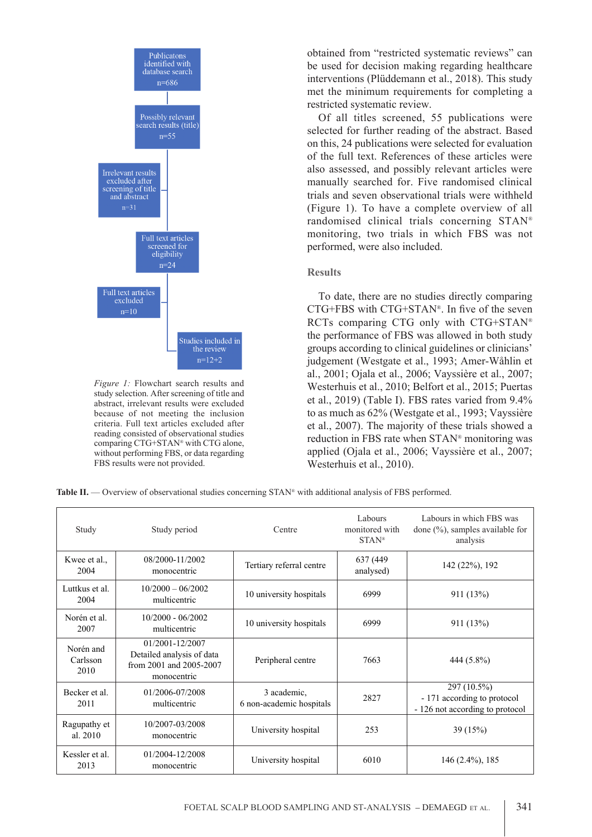

*Figure 1:* Flowchart search results and study selection. After screening of title and abstract, irrelevant results were excluded because of not meeting the inclusion criteria. Full text articles excluded after reading consisted of observational studies comparing CTG+STAN® with CTG alone, without performing FBS, or data regarding FBS results were not provided.

obtained from "restricted systematic reviews" can be used for decision making regarding healthcare interventions (Plüddemann et al., 2018). This study met the minimum requirements for completing a restricted systematic review.

Of all titles screened, 55 publications were selected for further reading of the abstract. Based on this, 24 publications were selected for evaluation of the full text. References of these articles were also assessed, and possibly relevant articles were manually searched for. Five randomised clinical trials and seven observational trials were withheld (Figure 1). To have a complete overview of all randomised clinical trials concerning STAN® monitoring, two trials in which FBS was not performed, were also included.

#### **Results**

To date, there are no studies directly comparing CTG+FBS with CTG+STAN®. In five of the seven RCTs comparing CTG only with CTG+STAN® the performance of FBS was allowed in both study groups according to clinical guidelines or clinicians' judgement (Westgate et al., 1993; Amer-Wåhlin et al., 2001; Ojala et al., 2006; Vayssière et al., 2007; Westerhuis et al., 2010; Belfort et al., 2015; Puertas et al., 2019) (Table I). FBS rates varied from 9.4% to as much as 62% (Westgate et al., 1993; Vayssière et al., 2007). The majority of these trials showed a reduction in FBS rate when STAN® monitoring was applied (Ojala et al., 2006; Vayssière et al., 2007; Westerhuis et al., 2010).

Table II. — Overview of observational studies concerning STAN<sup>®</sup> with additional analysis of FBS performed.

| Study                         | Study period                                                                           | Centre                                  | Labours<br>monitored with<br>$STAN^*$ | Labours in which FBS was<br>done $(\%)$ , samples available for<br>analysis   |
|-------------------------------|----------------------------------------------------------------------------------------|-----------------------------------------|---------------------------------------|-------------------------------------------------------------------------------|
| Kwee et al.,<br>2004          | 08/2000-11/2002<br>monocentric                                                         | Tertiary referral centre                | 637 (449)<br>analysed)                | 142 (22%), 192                                                                |
| Luttkus et al.<br>2004        | $10/2000 - 06/2002$<br>multicentric                                                    | 10 university hospitals                 | 6999                                  | 911 (13%)                                                                     |
| Norén et al.<br>2007          | $10/2000 - 06/2002$<br>multicentric                                                    | 10 university hospitals                 | 6999                                  | 911 (13%)                                                                     |
| Norén and<br>Carlsson<br>2010 | 01/2001-12/2007<br>Detailed analysis of data<br>from 2001 and 2005-2007<br>monocentric | Peripheral centre                       | 7663                                  | 444 (5.8%)                                                                    |
| Becker et al.<br>2011         | 01/2006-07/2008<br>multicentric                                                        | 3 academic,<br>6 non-academic hospitals | 2827                                  | 297 (10.5%)<br>- 171 according to protocol<br>- 126 not according to protocol |
| Ragupathy et<br>al. 2010      | 10/2007-03/2008<br>monocentric                                                         | University hospital                     | 253                                   | 39(15%)                                                                       |
| Kessler et al.<br>2013        | 01/2004-12/2008<br>monocentric                                                         | University hospital                     | 6010                                  | $146(2.4\%)$ , 185                                                            |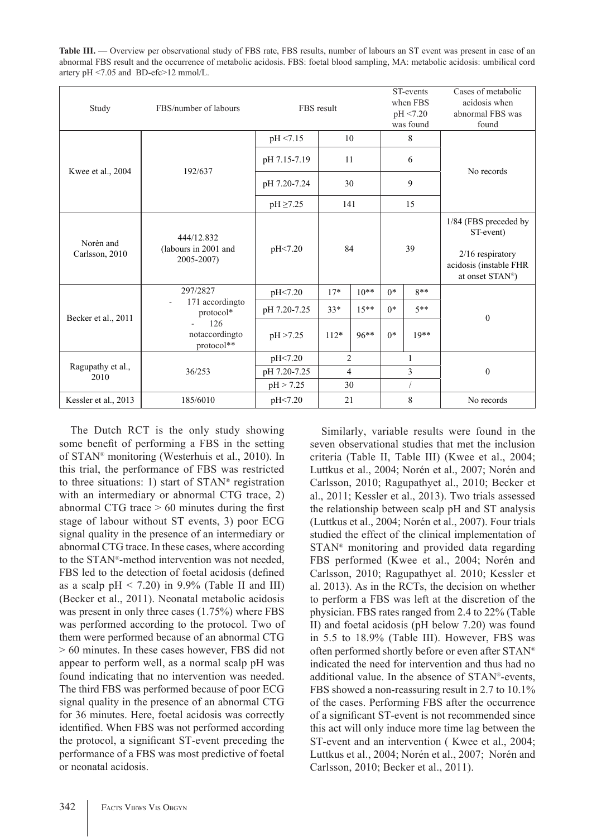| <b>Table III.</b> — Overview per observational study of FBS rate, FBS results, number of labours an ST event was present in case of an |
|----------------------------------------------------------------------------------------------------------------------------------------|
| abnormal FBS result and the occurrence of metabolic acidosis. FBS: foetal blood sampling, MA: metabolic acidosis: umbilical cord       |
| artery $pH \le 7.05$ and BD-efc $>12$ mmol/L.                                                                                          |

| Study                       | FBS/number of labours                            | FBS result    |                |         | ST-events<br>when FBS<br>pH <7.20<br>was found |        | Cases of metabolic<br>acidosis when<br>abnormal FBS was<br>found                                                   |
|-----------------------------|--------------------------------------------------|---------------|----------------|---------|------------------------------------------------|--------|--------------------------------------------------------------------------------------------------------------------|
| Kwee et al., 2004           |                                                  | pH <7.15      | 10             |         | 8                                              |        |                                                                                                                    |
|                             | 192/637                                          | pH 7.15-7.19  | 11             |         | 6                                              |        | No records                                                                                                         |
|                             |                                                  | pH 7.20-7.24  | 30             |         | 9                                              |        |                                                                                                                    |
|                             |                                                  | $pH \ge 7.25$ | 141            |         | 15                                             |        |                                                                                                                    |
| Norèn and<br>Carlsson, 2010 | 444/12.832<br>(labours in 2001 and<br>2005-2007) | pH<7.20       |                | 84      | 39                                             |        | 1/84 (FBS preceded by<br>ST-event)<br>$2/16$ respiratory<br>acidosis (instable FHR<br>at onset STAN <sup>®</sup> ) |
| Becker et al., 2011         | 297/2827                                         | pH<7.20       | $17*$          | $10**$  | $0*$                                           | $8**$  |                                                                                                                    |
|                             | 171 accordingto<br>protocol*                     | pH 7.20-7.25  | $33*$          | $15**$  | $0*$                                           | $5**$  | $\mathbf{0}$                                                                                                       |
|                             | 126<br>notaccordingto<br>protocol**              | pH > 7.25     | $112*$         | $96***$ | $0*$                                           | $19**$ |                                                                                                                    |
| Ragupathy et al.,<br>2010   | 36/253                                           | pH<7.20       | $\overline{2}$ |         | 1                                              |        |                                                                                                                    |
|                             |                                                  | pH 7.20-7.25  | $\overline{4}$ |         | 3                                              |        | $\mathbf{0}$                                                                                                       |
|                             |                                                  | pH > 7.25     | 30             |         |                                                |        |                                                                                                                    |
| Kessler et al., 2013        | 185/6010                                         | pH<7.20       | 21             |         |                                                | 8      | No records                                                                                                         |

The Dutch RCT is the only study showing some benefit of performing a FBS in the setting of STAN® monitoring (Westerhuis et al., 2010). In this trial, the performance of FBS was restricted to three situations: 1) start of STAN® registration with an intermediary or abnormal CTG trace, 2) abnormal CTG trace > 60 minutes during the first stage of labour without ST events, 3) poor ECG signal quality in the presence of an intermediary or abnormal CTG trace. In these cases, where according to the STAN®-method intervention was not needed, FBS led to the detection of foetal acidosis (defined as a scalp  $pH < 7.20$  in 9.9% (Table II and III) (Becker et al., 2011). Neonatal metabolic acidosis was present in only three cases (1.75%) where FBS was performed according to the protocol. Two of them were performed because of an abnormal CTG > 60 minutes. In these cases however, FBS did not appear to perform well, as a normal scalp pH was found indicating that no intervention was needed. The third FBS was performed because of poor ECG signal quality in the presence of an abnormal CTG for 36 minutes. Here, foetal acidosis was correctly identified. When FBS was not performed according the protocol, a significant ST-event preceding the performance of a FBS was most predictive of foetal or neonatal acidosis.

Similarly, variable results were found in the seven observational studies that met the inclusion criteria (Table II, Table III) (Kwee et al., 2004; Luttkus et al., 2004; Norén et al., 2007; Norén and Carlsson, 2010; Ragupathyet al., 2010; Becker et al., 2011; Kessler et al., 2013). Two trials assessed the relationship between scalp pH and ST analysis (Luttkus et al., 2004; Norén et al., 2007). Four trials studied the effect of the clinical implementation of STAN® monitoring and provided data regarding FBS performed (Kwee et al., 2004; Norén and Carlsson, 2010; Ragupathyet al. 2010; Kessler et al. 2013). As in the RCTs, the decision on whether to perform a FBS was left at the discretion of the physician. FBS rates ranged from 2.4 to 22% (Table II) and foetal acidosis (pH below 7.20) was found in 5.5 to 18.9% (Table III). However, FBS was often performed shortly before or even after STAN® indicated the need for intervention and thus had no additional value. In the absence of STAN®-events, FBS showed a non-reassuring result in 2.7 to 10.1% of the cases. Performing FBS after the occurrence of a significant ST-event is not recommended since this act will only induce more time lag between the ST-event and an intervention ( Kwee et al., 2004; Luttkus et al., 2004; Norén et al., 2007; Norén and Carlsson, 2010; Becker et al., 2011).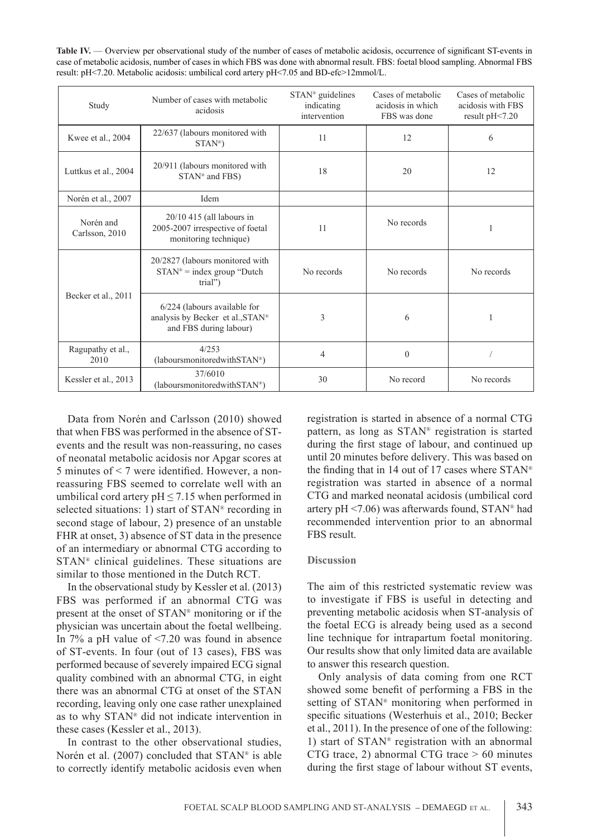Table IV. — Overview per observational study of the number of cases of metabolic acidosis, occurrence of significant ST-events in case of metabolic acidosis, number of cases in which FBS was done with abnormal result. FBS: foetal blood sampling. Abnormal FBS result: pH<7.20. Metabolic acidosis: umbilical cord artery pH<7.05 and BD-efc>12mmol/L.

| Study                       | Number of cases with metabolic<br>acidosis                                                 | STAN <sup>®</sup> guidelines<br>indicating<br>intervention | Cases of metabolic<br>acidosis in which<br>FBS was done | Cases of metabolic<br>acidosis with FBS<br>result pH<7.20 |
|-----------------------------|--------------------------------------------------------------------------------------------|------------------------------------------------------------|---------------------------------------------------------|-----------------------------------------------------------|
| Kwee et al., 2004           | 22/637 (labours monitored with<br>$STAN^*$                                                 | 11                                                         | 12                                                      | 6                                                         |
| Luttkus et al., 2004        | 20/911 (labours monitored with<br>STAN <sup>®</sup> and FBS)                               | 18                                                         | 20                                                      | 12                                                        |
| Norén et al., 2007          | Idem                                                                                       |                                                            |                                                         |                                                           |
| Norén and<br>Carlsson, 2010 | $20/10$ 415 (all labours in<br>2005-2007 irrespective of foetal<br>monitoring technique)   | 11                                                         | No records                                              |                                                           |
|                             | 20/2827 (labours monitored with<br>$STAN^*$ = index group "Dutch"<br>trial")               | No records                                                 | No records                                              | No records                                                |
| Becker et al., 2011         | 6/224 (labours available for<br>analysis by Becker et al., STAN®<br>and FBS during labour) | 3                                                          | 6                                                       |                                                           |
| Ragupathy et al.,<br>2010   | 4/253<br>(laboursmonitoredwithSTAN®)                                                       | 4                                                          | $\mathbf{0}$                                            |                                                           |
| Kessler et al., 2013        | 37/6010<br>(laboursmonitoredwithSTAN®)                                                     | 30                                                         | No record                                               | No records                                                |

Data from Norén and Carlsson (2010) showed that when FBS was performed in the absence of STevents and the result was non-reassuring, no cases of neonatal metabolic acidosis nor Apgar scores at 5 minutes of < 7 were identified. However, a nonreassuring FBS seemed to correlate well with an umbilical cord artery  $pH \le 7.15$  when performed in selected situations: 1) start of STAN® recording in second stage of labour, 2) presence of an unstable FHR at onset, 3) absence of ST data in the presence of an intermediary or abnormal CTG according to STAN® clinical guidelines. These situations are similar to those mentioned in the Dutch RCT.

In the observational study by Kessler et al. (2013) FBS was performed if an abnormal CTG was present at the onset of STAN® monitoring or if the physician was uncertain about the foetal wellbeing. In 7% a pH value of <7.20 was found in absence of ST-events. In four (out of 13 cases), FBS was performed because of severely impaired ECG signal quality combined with an abnormal CTG, in eight there was an abnormal CTG at onset of the STAN recording, leaving only one case rather unexplained as to why STAN® did not indicate intervention in these cases (Kessler et al., 2013).

In contrast to the other observational studies, Norén et al. (2007) concluded that STAN® is able to correctly identify metabolic acidosis even when registration is started in absence of a normal CTG pattern, as long as STAN® registration is started during the first stage of labour, and continued up until 20 minutes before delivery. This was based on the finding that in 14 out of 17 cases where  $STAN^*$ registration was started in absence of a normal CTG and marked neonatal acidosis (umbilical cord artery pH  $\leq$ 7.06) was afterwards found, STAN® had recommended intervention prior to an abnormal FBS result.

#### **Discussion**

The aim of this restricted systematic review was to investigate if FBS is useful in detecting and preventing metabolic acidosis when ST-analysis of the foetal ECG is already being used as a second line technique for intrapartum foetal monitoring. Our results show that only limited data are available to answer this research question.

Only analysis of data coming from one RCT showed some benefit of performing a FBS in the setting of STAN® monitoring when performed in specific situations (Westerhuis et al., 2010; Becker et al., 2011). In the presence of one of the following: 1) start of STAN® registration with an abnormal CTG trace, 2) abnormal CTG trace > 60 minutes during the first stage of labour without ST events,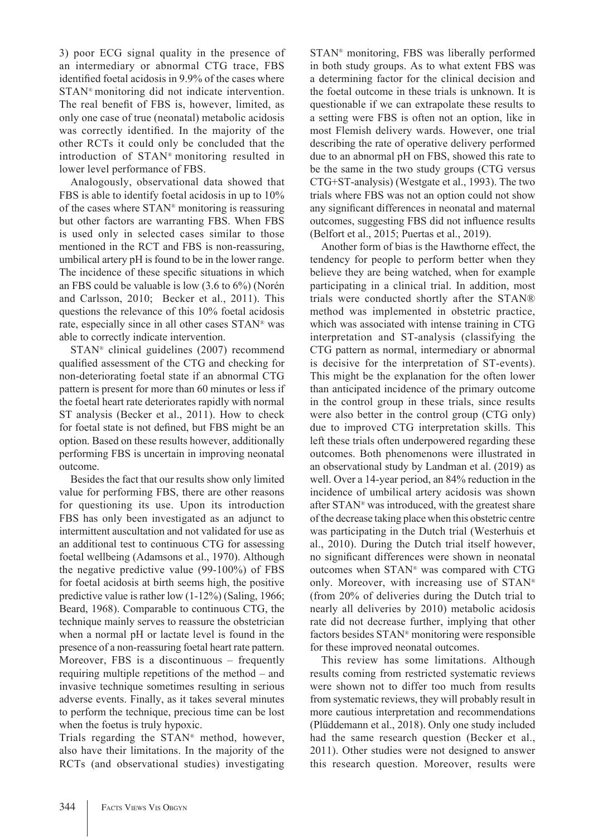3) poor ECG signal quality in the presence of an intermediary or abnormal CTG trace, FBS identified foetal acidosis in 9.9% of the cases where STAN® monitoring did not indicate intervention. The real benefit of FBS is, however, limited, as only one case of true (neonatal) metabolic acidosis was correctly identified. In the majority of the other RCTs it could only be concluded that the introduction of STAN® monitoring resulted in lower level performance of FBS.

Analogously, observational data showed that FBS is able to identify foetal acidosis in up to 10% of the cases where STAN® monitoring is reassuring but other factors are warranting FBS. When FBS is used only in selected cases similar to those mentioned in the RCT and FBS is non-reassuring, umbilical artery pH is found to be in the lower range. The incidence of these specific situations in which an FBS could be valuable is low (3.6 to 6%) (Norén and Carlsson, 2010; Becker et al., 2011). This questions the relevance of this 10% foetal acidosis rate, especially since in all other cases STAN® was able to correctly indicate intervention.

STAN® clinical guidelines (2007) recommend qualified assessment of the CTG and checking for non-deteriorating foetal state if an abnormal CTG pattern is present for more than 60 minutes or less if the foetal heart rate deteriorates rapidly with normal ST analysis (Becker et al., 2011). How to check for foetal state is not defined, but FBS might be an option. Based on these results however, additionally performing FBS is uncertain in improving neonatal outcome.

Besides the fact that our results show only limited value for performing FBS, there are other reasons for questioning its use. Upon its introduction FBS has only been investigated as an adjunct to intermittent auscultation and not validated for use as an additional test to continuous CTG for assessing foetal wellbeing (Adamsons et al., 1970). Although the negative predictive value (99-100%) of FBS for foetal acidosis at birth seems high, the positive predictive value is rather low (1-12%) (Saling, 1966; Beard, 1968). Comparable to continuous CTG, the technique mainly serves to reassure the obstetrician when a normal pH or lactate level is found in the presence of a non-reassuring foetal heart rate pattern. Moreover, FBS is a discontinuous – frequently requiring multiple repetitions of the method – and invasive technique sometimes resulting in serious adverse events. Finally, as it takes several minutes to perform the technique, precious time can be lost when the foetus is truly hypoxic.

Trials regarding the STAN® method, however, also have their limitations. In the majority of the RCTs (and observational studies) investigating

STAN® monitoring, FBS was liberally performed in both study groups. As to what extent FBS was a determining factor for the clinical decision and the foetal outcome in these trials is unknown. It is questionable if we can extrapolate these results to a setting were FBS is often not an option, like in most Flemish delivery wards. However, one trial describing the rate of operative delivery performed due to an abnormal pH on FBS, showed this rate to be the same in the two study groups (CTG versus CTG+ST-analysis) (Westgate et al., 1993). The two trials where FBS was not an option could not show any significant differences in neonatal and maternal outcomes, suggesting FBS did not influence results (Belfort et al., 2015; Puertas et al., 2019).

Another form of bias is the Hawthorne effect, the tendency for people to perform better when they believe they are being watched, when for example participating in a clinical trial. In addition, most trials were conducted shortly after the STAN® method was implemented in obstetric practice, which was associated with intense training in CTG interpretation and ST-analysis (classifying the CTG pattern as normal, intermediary or abnormal is decisive for the interpretation of ST-events). This might be the explanation for the often lower than anticipated incidence of the primary outcome in the control group in these trials, since results were also better in the control group (CTG only) due to improved CTG interpretation skills. This left these trials often underpowered regarding these outcomes. Both phenomenons were illustrated in an observational study by Landman et al. (2019) as well. Over a 14-year period, an 84% reduction in the incidence of umbilical artery acidosis was shown after STAN® was introduced, with the greatest share of the decrease taking place when this obstetric centre was participating in the Dutch trial (Westerhuis et al., 2010). During the Dutch trial itself however, no significant differences were shown in neonatal outcomes when STAN® was compared with CTG only. Moreover, with increasing use of STAN® (from 20% of deliveries during the Dutch trial to nearly all deliveries by 2010) metabolic acidosis rate did not decrease further, implying that other factors besides STAN® monitoring were responsible for these improved neonatal outcomes.

This review has some limitations. Although results coming from restricted systematic reviews were shown not to differ too much from results from systematic reviews, they will probably result in more cautious interpretation and recommendations (Plüddemann et al., 2018). Only one study included had the same research question (Becker et al., 2011). Other studies were not designed to answer this research question. Moreover, results were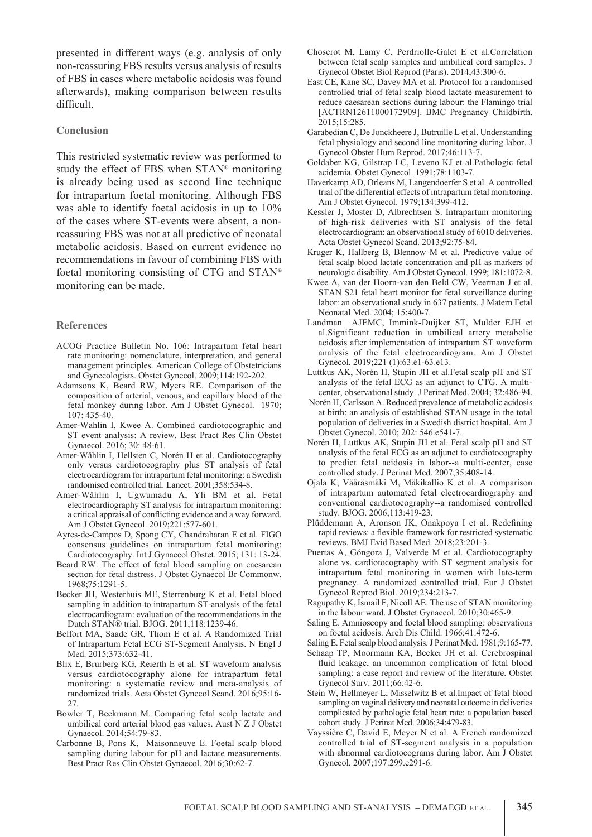presented in different ways (e.g. analysis of only non-reassuring FBS results versus analysis of results of FBS in cases where metabolic acidosis was found afterwards), making comparison between results difficult.

#### **Conclusion**

This restricted systematic review was performed to study the effect of FBS when STAN® monitoring is already being used as second line technique for intrapartum foetal monitoring. Although FBS was able to identify foetal acidosis in up to 10% of the cases where ST-events were absent, a nonreassuring FBS was not at all predictive of neonatal metabolic acidosis. Based on current evidence no recommendations in favour of combining FBS with foetal monitoring consisting of CTG and STAN® monitoring can be made.

#### **References**

- ACOG Practice Bulletin No. 106: Intrapartum fetal heart rate monitoring: nomenclature, interpretation, and general management principles. American College of Obstetricians and Gynecologists. Obstet Gynecol. 2009;114:192-202.
- Adamsons K, Beard RW, Myers RE. Comparison of the composition of arterial, venous, and capillary blood of the fetal monkey during labor. Am J Obstet Gynecol. 1970;  $107 \cdot 435 - 40$
- Amer-Wahlin I, Kwee A. Combined cardiotocographic and ST event analysis: A review. Best Pract Res Clin Obstet Gynaecol. 2016; 30: 48-61.
- Amer-Wåhlin I, Hellsten C, Norén H et al. Cardiotocography only versus cardiotocography plus ST analysis of fetal electrocardiogram for intrapartum fetal monitoring: a Swedish randomised controlled trial. Lancet. 2001;358:534-8.
- Amer-Wåhlin I, Ugwumadu A, Yli BM et al. Fetal electrocardiography ST analysis for intrapartum monitoring: a critical appraisal of conflicting evidence and a way forward. Am J Obstet Gynecol. 2019;221:577-601.
- Ayres-de-Campos D, Spong CY, Chandraharan E et al. FIGO consensus guidelines on intrapartum fetal monitoring: Cardiotocography. Int J Gynaecol Obstet. 2015; 131: 13-24.
- Beard RW. The effect of fetal blood sampling on caesarean section for fetal distress. J Obstet Gynaecol Br Commonw. 1968;75:1291-5.
- Becker JH, Westerhuis ME, Sterrenburg K et al. Fetal blood sampling in addition to intrapartum ST-analysis of the fetal electrocardiogram: evaluation of the recommendations in the Dutch STAN® trial. BJOG. 2011;118:1239-46.
- Belfort MA, Saade GR, Thom E et al. A Randomized Trial of Intrapartum Fetal ECG ST-Segment Analysis. N Engl J Med. 2015;373:632-41.
- Blix E, Brurberg KG, Reierth E et al. ST waveform analysis versus cardiotocography alone for intrapartum fetal monitoring: a systematic review and meta-analysis of randomized trials. Acta Obstet Gynecol Scand. 2016;95:16- 27.
- Bowler T, Beckmann M. Comparing fetal scalp lactate and umbilical cord arterial blood gas values. Aust N Z J Obstet Gynaecol. 2014;54:79-83.
- Carbonne B, Pons K, Maisonneuve E. Foetal scalp blood sampling during labour for pH and lactate measurements. Best Pract Res Clin Obstet Gynaecol. 2016;30:62-7.
- Choserot M, Lamy C, Perdriolle-Galet E et al.Correlation between fetal scalp samples and umbilical cord samples. J Gynecol Obstet Biol Reprod (Paris). 2014;43:300-6.
- East CE, Kane SC, Davey MA et al. Protocol for a randomised controlled trial of fetal scalp blood lactate measurement to reduce caesarean sections during labour: the Flamingo trial [ACTRN12611000172909]. BMC Pregnancy Childbirth. 2015;15:285.
- Garabedian C, De Jonckheere J, Butruille L et al. Understanding fetal physiology and second line monitoring during labor. J Gynecol Obstet Hum Reprod. 2017;46:113-7.
- Goldaber KG, Gilstrap LC, Leveno KJ et al.Pathologic fetal acidemia. Obstet Gynecol. 1991;78:1103-7.
- Haverkamp AD, Orleans M, Langendoerfer S et al. A controlled trial of the differential effects of intrapartum fetal monitoring. Am J Obstet Gynecol. 1979;134:399-412.
- Kessler J, Moster D, Albrechtsen S. Intrapartum monitoring of high-risk deliveries with ST analysis of the fetal electrocardiogram: an observational study of 6010 deliveries. Acta Obstet Gynecol Scand. 2013;92:75-84.
- Kruger K, Hallberg B, Blennow M et al. Predictive value of fetal scalp blood lactate concentration and pH as markers of neurologic disability. Am J Obstet Gynecol. 1999; 181:1072-8.
- Kwee A, van der Hoorn-van den Beld CW, Veerman J et al. STAN S21 fetal heart monitor for fetal surveillance during labor: an observational study in 637 patients. J Matern Fetal Neonatal Med. 2004; 15:400-7.
- Landman AJEMC, Immink-Duijker ST, Mulder EJH et al.Significant reduction in umbilical artery metabolic acidosis after implementation of intrapartum ST waveform analysis of the fetal electrocardiogram. Am J Obstet Gynecol. 2019;221 (1):63.e1-63.e13.
- Luttkus AK, Norén H, Stupin JH et al.Fetal scalp pH and ST analysis of the fetal ECG as an adjunct to CTG. A multicenter, observational study. J Perinat Med. 2004; 32:486-94.
- Norén H, Carlsson A. Reduced prevalence of metabolic acidosis at birth: an analysis of established STAN usage in the total population of deliveries in a Swedish district hospital. Am J Obstet Gynecol. 2010; 202: 546.e541-7.
- Norén H, Luttkus AK, Stupin JH et al. Fetal scalp pH and ST analysis of the fetal ECG as an adjunct to cardiotocography to predict fetal acidosis in labor--a multi-center, case controlled study. J Perinat Med. 2007;35:408-14.
- Ojala K, Vääräsmäki M, Mäkikallio K et al. A comparison of intrapartum automated fetal electrocardiography and conventional cardiotocography--a randomised controlled study. BJOG. 2006;113:419-23.
- Plüddemann A, Aronson JK, Onakpoya I et al. Redefining rapid reviews: a flexible framework for restricted systematic reviews. BMJ Evid Based Med. 2018;23:201-3.
- Puertas A, Góngora J, Valverde M et al. Cardiotocography alone vs. cardiotocography with ST segment analysis for intrapartum fetal monitoring in women with late-term pregnancy. A randomized controlled trial. Eur J Obstet Gynecol Reprod Biol. 2019;234:213-7.
- Ragupathy K, Ismail F, Nicoll AE. The use of STAN monitoring in the labour ward. J Obstet Gynaecol. 2010;30:465-9.
- Saling E. Amnioscopy and foetal blood sampling: observations on foetal acidosis. Arch Dis Child. 1966;41:472-6.
- Saling E. Fetal scalp blood analysis. J Perinat Med. 1981;9:165-77.
- Schaap TP, Moormann KA, Becker JH et al. Cerebrospinal fluid leakage, an uncommon complication of fetal blood sampling: a case report and review of the literature. Obstet Gynecol Surv. 2011;66:42-6.
- Stein W, Hellmeyer L, Misselwitz B et al.Impact of fetal blood sampling on vaginal delivery and neonatal outcome in deliveries complicated by pathologic fetal heart rate: a population based cohort study. J Perinat Med. 2006;34:479-83.
- Vayssière C, David E, Meyer N et al. A French randomized controlled trial of ST-segment analysis in a population with abnormal cardiotocograms during labor. Am J Obstet Gynecol. 2007;197:299.e291-6.